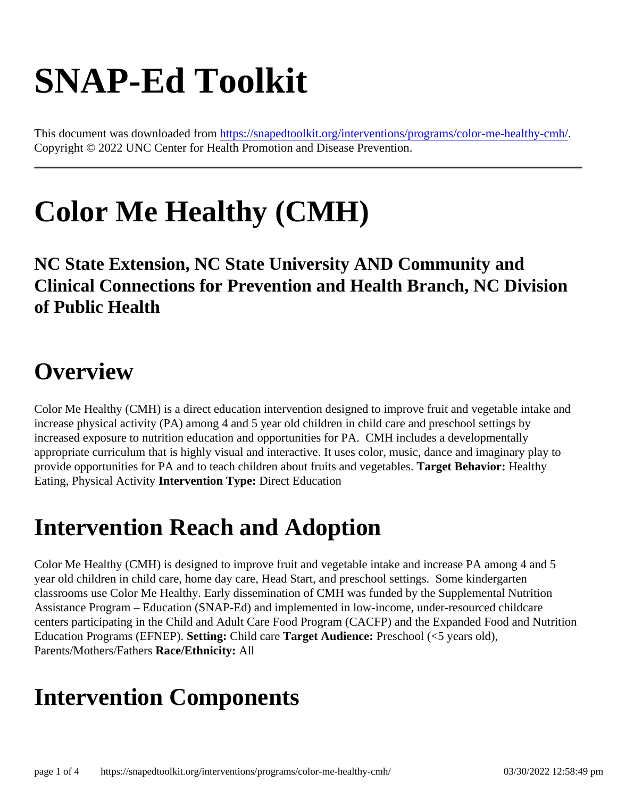# SNAP-Ed Toolkit

This document was downloaded fr[om https://snapedtoolkit.org/interventions/programs/color-me-healthy-](https://snapedtoolkit.org/interventions/programs/color-me-healthy-cmh/)cmh/ Copyright © 2022 UNC Center for Health Promotion and Disease Prevention.

# Color Me Healthy (CMH)

NC State Extension, NC State University AND Community and Clinical Connections for Prevention and Health Branch, NC Division of Public Health

#### **Overview**

Color Me Healthy (CMH) is a direct education intervention designed to improve fruit and vegetable intake and increase physical activity (PA) among 4 and 5 year old children in child care and preschool settings by increased exposure to nutrition education and opportunities for PA. CMH includes a developmentally appropriate curriculum that is highly visual and interactive. It uses color, music, dance and imaginary play to provide opportunities for PA and to teach children about fruits and vegetables Behavior: Healthy Eating, Physical Activity Intervention Type: Direct Education

### Intervention Reach and Adoption

Color Me Healthy (CMH) is designed to improve fruit and vegetable intake and increase PA among 4 and 5 year old children in child care, home day care, Head Start, and preschool settings. Some kindergarten classrooms use Color Me Healthy. Early dissemination of CMH was funded by the Supplemental Nutrition Assistance Program – Education (SNAP-Ed) and implemented in low-income, under-resourced childcare centers participating in the Child and Adult Care Food Program (CACFP) and the Expanded Food and Nutrition Education Programs (EFNEP) etting: Child care Target Audience: Preschool (<5 years old), Parents/Mothers/Fathersace/Ethnicity: All

#### Intervention Components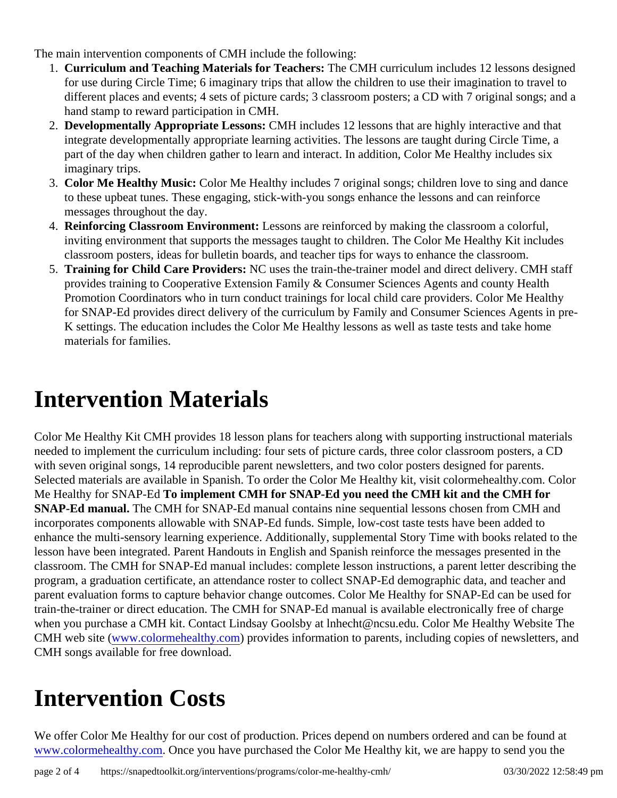The main intervention components of CMH include the following:

- 1. Curriculum and Teaching Materials for Teachers: The CMH curriculum includes 12 lessons designed for use during Circle Time; 6 imaginary trips that allow the children to use their imagination to travel to different places and events; 4 sets of picture cards; 3 classroom posters; a CD with 7 original songs; an hand stamp to reward participation in CMH.
- 2. Developmentally Appropriate Lessons CMH includes 12 lessons that are highly interactive and that integrate developmentally appropriate learning activities. The lessons are taught during Circle Time, a part of the day when children gather to learn and interact. In addition, Color Me Healthy includes six imaginary trips.
- 3. Color Me Healthy Music: Color Me Healthy includes 7 original songs; children love to sing and dance to these upbeat tunes. These engaging, stick-with-you songs enhance the lessons and can reinforce messages throughout the day.
- 4. Reinforcing Classroom Environment: Lessons are reinforced by making the classroom a colorful, inviting environment that supports the messages taught to children. The Color Me Healthy Kit includes classroom posters, ideas for bulletin boards, and teacher tips for ways to enhance the classroom.
- 5. Training for Child Care Providers: NC uses the train-the-trainer model and direct delivery. CMH staff provides training to Cooperative Extension Family & Consumer Sciences Agents and county Health Promotion Coordinators who in turn conduct trainings for local child care providers. Color Me Healthy for SNAP-Ed provides direct delivery of the curriculum by Family and Consumer Sciences Agents in pre-K settings. The education includes the Color Me Healthy lessons as well as taste tests and take home materials for families.

### Intervention Materials

Color Me Healthy Kit CMH provides 18 lesson plans for teachers along with supporting instructional materials needed to implement the curriculum including: four sets of picture cards, three color classroom posters, a CD with seven original songs, 14 reproducible parent newsletters, and two color posters designed for parents. Selected materials are available in Spanish. To order the Color Me Healthy kit, visit colormehealthy.com. Colo Me Healthy for SNAP-Edo implement CMH for SNAP-Ed you need the CMH kit and the CMH for SNAP-Ed manual. The CMH for SNAP-Ed manual contains nine sequential lessons chosen from CMH and incorporates components allowable with SNAP-Ed funds. Simple, low-cost taste tests have been added to enhance the multi-sensory learning experience. Additionally, supplemental Story Time with books related to the lesson have been integrated. Parent Handouts in English and Spanish reinforce the messages presented in t classroom. The CMH for SNAP-Ed manual includes: complete lesson instructions, a parent letter describing to program, a graduation certificate, an attendance roster to collect SNAP-Ed demographic data, and teacher are parent evaluation forms to capture behavior change outcomes. Color Me Healthy for SNAP-Ed can be used for train-the-trainer or direct education. The CMH for SNAP-Ed manual is available electronically free of charge when you purchase a CMH kit. Contact Lindsay Goolsby at Inhecht@ncsu.edu. Color Me Healthy Website Th CMH web site (www.colormehealthy.co) provides information to parents, including copies of newsletters, and CMH songs available for free download.

# Intervention Costs

We offer Color Me Healthy for our cost of production. Prices depend on numbers ordered and can be found a [www.colormehealthy.com](http://www.colormehealthy.com)Once you have purchased the Color Me Healthy kit, we are happy to send you the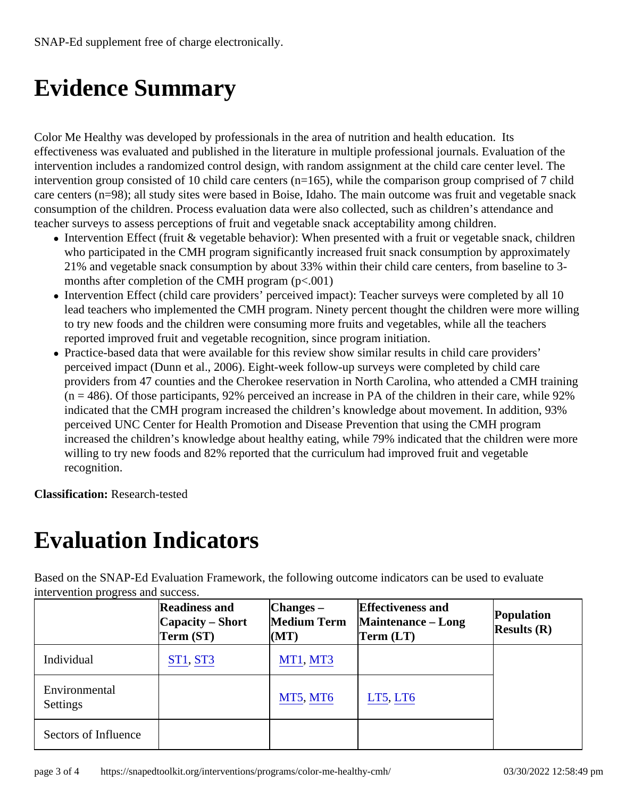# Evidence Summary

Color Me Healthy was developed by professionals in the area of nutrition and health education. Its effectiveness was evaluated and published in the literature in multiple professional journals. Evaluation of the intervention includes a randomized control design, with random assignment at the child care center level. The intervention group consisted of 10 child care centers (n=165), while the comparison group comprised of 7 chi care centers (n=98); all study sites were based in Boise, Idaho. The main outcome was fruit and vegetable sra consumption of the children. Process evaluation data were also collected, such as children's attendance and teacher surveys to assess perceptions of fruit and vegetable snack acceptability among children.

- Intervention Effect (fruit & vegetable behavior): When presented with a fruit or vegetable snack, children who participated in the CMH program significantly increased fruit snack consumption by approximately 21% and vegetable snack consumption by about 33% within their child care centers, from baseline to 3 months after completion of the CMH program (p<.001)
- Intervention Effect (child care providers' perceived impact): Teacher surveys were completed by all 10 lead teachers who implemented the CMH program. Ninety percent thought the children were more willing to try new foods and the children were consuming more fruits and vegetables, while all the teachers reported improved fruit and vegetable recognition, since program initiation.
- Practice-based data that were available for this review show similar results in child care providers' perceived impact (Dunn et al., 2006). Eight-week follow-up surveys were completed by child care providers from 47 counties and the Cherokee reservation in North Carolina, who attended a CMH training  $(n = 486)$ . Of those participants, 92% perceived an increase in PA of the children in their care, while 92% indicated that the CMH program increased the children's knowledge about movement. In addition, 93% perceived UNC Center for Health Promotion and Disease Prevention that using the CMH program increased the children's knowledge about healthy eating, while 79% indicated that the children were more willing to try new foods and 82% reported that the curriculum had improved fruit and vegetable recognition.

Classification: Research-tested

#### Evaluation Indicators

Based on the SNAP-Ed Evaluation Framework, the following outcome indicators can be used to evaluate intervention progress and success.

|                           | Readiness and<br>Capacity – Short<br>Term (ST) | $ Changes -$<br>Medium Term<br>(MT) | <b>Effectiveness and</b><br>Maintenance - Long<br>Term (LT) | Population<br>Results(R) |
|---------------------------|------------------------------------------------|-------------------------------------|-------------------------------------------------------------|--------------------------|
| Individual                | <b>ST1, ST3</b>                                | MT1, MT3                            |                                                             |                          |
| Environmental<br>Settings |                                                | <b>MT5, MT6</b>                     | LT5, LT6                                                    |                          |
| Sectors of Influence      |                                                |                                     |                                                             |                          |